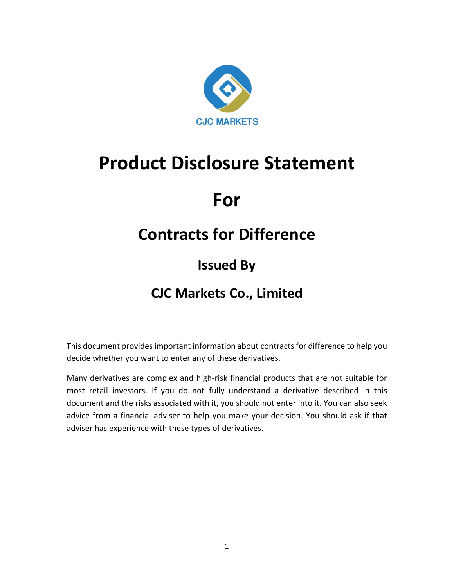

# **Product Disclosure Statement**

# **For**

## **Contracts for Difference**

## **Issued By**

## **CJC Markets Co., Limited**

This document provides important information about contracts for difference to help you decide whether you want to enter any of these derivatives.

Many derivatives are complex and high-risk financial products that are not suitable for most retail investors. If you do not fully understand a derivative described in this document and the risks associated with it, you should not enter into it. You can also seek advice from a financial adviser to help you make your decision. You should ask if that adviser has experience with these types of derivatives.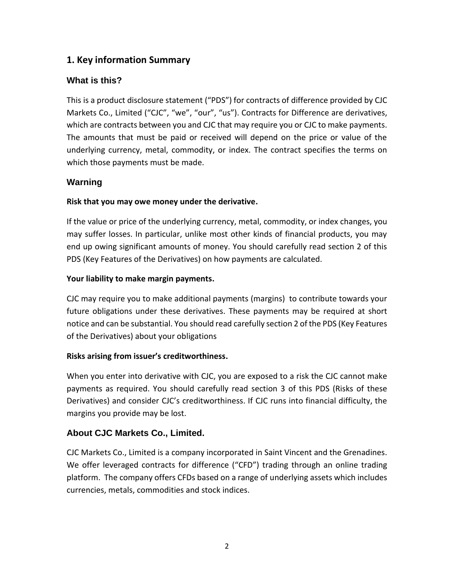## **1. Key information Summary**

## **What is this?**

This is a product disclosure statement ("PDS") for contracts of difference provided by CJC Markets Co., Limited ("CJC", "we", "our", "us"). Contracts for Difference are derivatives, which are contracts between you and CJC that may require you or CJC to make payments. The amounts that must be paid or received will depend on the price or value of the underlying currency, metal, commodity, or index. The contract specifies the terms on which those payments must be made.

## **Warning**

## **Risk that you may owe money under the derivative.**

If the value or price of the underlying currency, metal, commodity, or index changes, you may suffer losses. In particular, unlike most other kinds of financial products, you may end up owing significant amounts of money. You should carefully read section 2 of this PDS (Key Features of the Derivatives) on how payments are calculated.

#### **Your liability to make margin payments.**

CJC may require you to make additional payments (margins) to contribute towards your future obligations under these derivatives. These payments may be required at short notice and can be substantial. You should read carefully section 2 of the PDS (Key Features of the Derivatives) about your obligations

#### **Risks arising from issuer's creditworthiness.**

When you enter into derivative with CJC, you are exposed to a risk the CJC cannot make payments as required. You should carefully read section 3 of this PDS (Risks of these Derivatives) and consider CJC's creditworthiness. If CJC runs into financial difficulty, the margins you provide may be lost.

## **About CJC Markets Co., Limited.**

CJC Markets Co., Limited is a company incorporated in Saint Vincent and the Grenadines. We offer leveraged contracts for difference ("CFD") trading through an online trading platform. The company offers CFDs based on a range of underlying assets which includes currencies, metals, commodities and stock indices.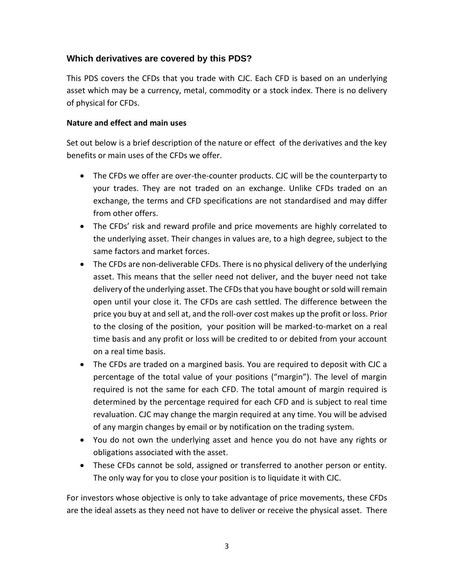#### **Which derivatives are covered by this PDS?**

This PDS covers the CFDs that you trade with CJC. Each CFD is based on an underlying asset which may be a currency, metal, commodity or a stock index. There is no delivery of physical for CFDs.

#### **Nature and effect and main uses**

Set out below is a brief description of the nature or effect of the derivatives and the key benefits or main uses of the CFDs we offer.

- The CFDs we offer are over-the-counter products. CJC will be the counterparty to your trades. They are not traded on an exchange. Unlike CFDs traded on an exchange, the terms and CFD specifications are not standardised and may differ from other offers.
- The CFDs' risk and reward profile and price movements are highly correlated to the underlying asset. Their changes in values are, to a high degree, subject to the same factors and market forces.
- The CFDs are non-deliverable CFDs. There is no physical delivery of the underlying asset. This means that the seller need not deliver, and the buyer need not take delivery of the underlying asset. The CFDs that you have bought or sold will remain open until your close it. The CFDs are cash settled. The difference between the price you buy at and sell at, and the roll-over cost makes up the profit or loss. Prior to the closing of the position, your position will be marked-to-market on a real time basis and any profit or loss will be credited to or debited from your account on a real time basis.
- The CFDs are traded on a margined basis. You are required to deposit with CJC a percentage of the total value of your positions ("margin"). The level of margin required is not the same for each CFD. The total amount of margin required is determined by the percentage required for each CFD and is subject to real time revaluation. CJC may change the margin required at any time. You will be advised of any margin changes by email or by notification on the trading system.
- You do not own the underlying asset and hence you do not have any rights or obligations associated with the asset.
- These CFDs cannot be sold, assigned or transferred to another person or entity. The only way for you to close your position is to liquidate it with CJC.

For investors whose objective is only to take advantage of price movements, these CFDs are the ideal assets as they need not have to deliver or receive the physical asset. There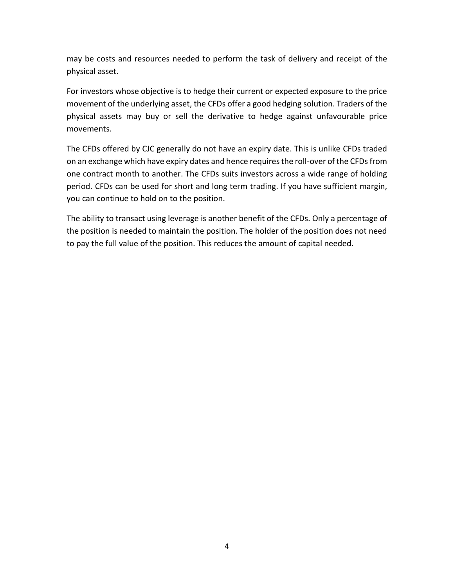may be costs and resources needed to perform the task of delivery and receipt of the physical asset.

For investors whose objective is to hedge their current or expected exposure to the price movement of the underlying asset, the CFDs offer a good hedging solution. Traders of the physical assets may buy or sell the derivative to hedge against unfavourable price movements.

The CFDs offered by CJC generally do not have an expiry date. This is unlike CFDs traded on an exchange which have expiry dates and hence requires the roll-over of the CFDs from one contract month to another. The CFDs suits investors across a wide range of holding period. CFDs can be used for short and long term trading. If you have sufficient margin, you can continue to hold on to the position.

The ability to transact using leverage is another benefit of the CFDs. Only a percentage of the position is needed to maintain the position. The holder of the position does not need to pay the full value of the position. This reduces the amount of capital needed.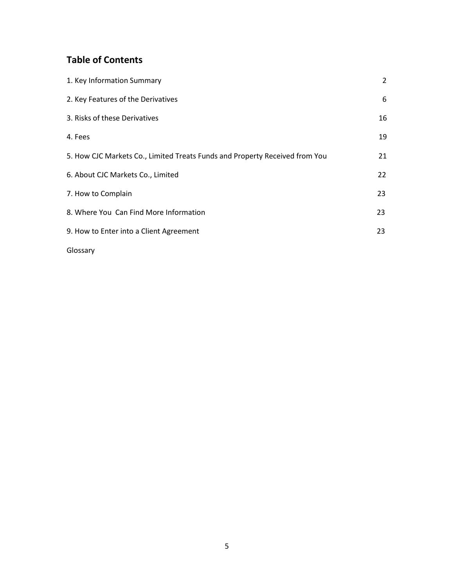## **Table of Contents**

| 1. Key Information Summary                                                  | $\overline{2}$ |
|-----------------------------------------------------------------------------|----------------|
| 2. Key Features of the Derivatives                                          | 6              |
| 3. Risks of these Derivatives                                               | 16             |
| 4. Fees                                                                     | 19             |
| 5. How CJC Markets Co., Limited Treats Funds and Property Received from You | 21             |
| 6. About CJC Markets Co., Limited                                           | 22             |
| 7. How to Complain                                                          | 23             |
| 8. Where You Can Find More Information                                      | 23             |
| 9. How to Enter into a Client Agreement                                     | 23             |
|                                                                             |                |

Glossary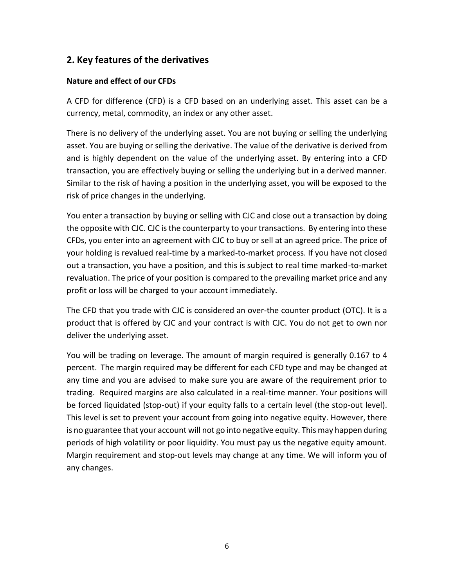## **2. Key features of the derivatives**

#### **Nature and effect of our CFDs**

A CFD for difference (CFD) is a CFD based on an underlying asset. This asset can be a currency, metal, commodity, an index or any other asset.

There is no delivery of the underlying asset. You are not buying or selling the underlying asset. You are buying or selling the derivative. The value of the derivative is derived from and is highly dependent on the value of the underlying asset. By entering into a CFD transaction, you are effectively buying or selling the underlying but in a derived manner. Similar to the risk of having a position in the underlying asset, you will be exposed to the risk of price changes in the underlying.

You enter a transaction by buying or selling with CJC and close out a transaction by doing the opposite with CJC. CJC is the counterparty to your transactions. By entering into these CFDs, you enter into an agreement with CJC to buy or sell at an agreed price. The price of your holding is revalued real-time by a marked-to-market process. If you have not closed out a transaction, you have a position, and this is subject to real time marked-to-market revaluation. The price of your position is compared to the prevailing market price and any profit or loss will be charged to your account immediately.

The CFD that you trade with CJC is considered an over-the counter product (OTC). It is a product that is offered by CJC and your contract is with CJC. You do not get to own nor deliver the underlying asset.

You will be trading on leverage. The amount of margin required is generally 0.167 to 4 percent. The margin required may be different for each CFD type and may be changed at any time and you are advised to make sure you are aware of the requirement prior to trading. Required margins are also calculated in a real-time manner. Your positions will be forced liquidated (stop-out) if your equity falls to a certain level (the stop-out level). This level is set to prevent your account from going into negative equity. However, there is no guarantee that your account will not go into negative equity. This may happen during periods of high volatility or poor liquidity. You must pay us the negative equity amount. Margin requirement and stop-out levels may change at any time. We will inform you of any changes.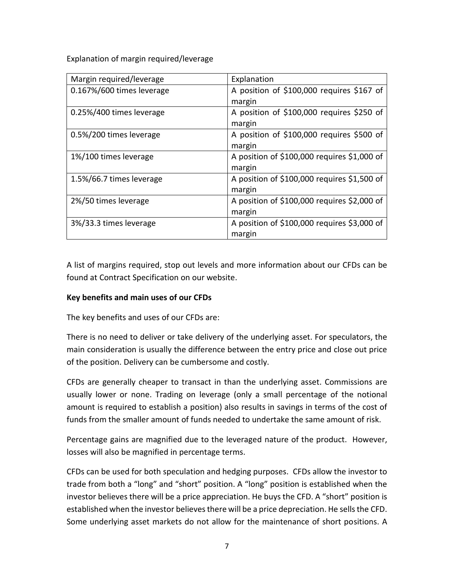Explanation of margin required/leverage

| Margin required/leverage  | Explanation                                 |
|---------------------------|---------------------------------------------|
| 0.167%/600 times leverage | A position of \$100,000 requires \$167 of   |
|                           | margin                                      |
| 0.25%/400 times leverage  | A position of \$100,000 requires \$250 of   |
|                           | margin                                      |
| 0.5%/200 times leverage   | A position of \$100,000 requires \$500 of   |
|                           | margin                                      |
| 1%/100 times leverage     | A position of \$100,000 requires \$1,000 of |
|                           | margin                                      |
| 1.5%/66.7 times leverage  | A position of \$100,000 requires \$1,500 of |
|                           | margin                                      |
| 2%/50 times leverage      | A position of \$100,000 requires \$2,000 of |
|                           | margin                                      |
| 3%/33.3 times leverage    | A position of \$100,000 requires \$3,000 of |
|                           | margin                                      |

A list of margins required, stop out levels and more information about our CFDs can be found at Contract Specification on our website.

#### **Key benefits and main uses of our CFDs**

The key benefits and uses of our CFDs are:

There is no need to deliver or take delivery of the underlying asset. For speculators, the main consideration is usually the difference between the entry price and close out price of the position. Delivery can be cumbersome and costly.

CFDs are generally cheaper to transact in than the underlying asset. Commissions are usually lower or none. Trading on leverage (only a small percentage of the notional amount is required to establish a position) also results in savings in terms of the cost of funds from the smaller amount of funds needed to undertake the same amount of risk.

Percentage gains are magnified due to the leveraged nature of the product. However, losses will also be magnified in percentage terms.

CFDs can be used for both speculation and hedging purposes. CFDs allow the investor to trade from both a "long" and "short" position. A "long" position is established when the investor believes there will be a price appreciation. He buys the CFD. A "short" position is established when the investor believes there will be a price depreciation. He sells the CFD. Some underlying asset markets do not allow for the maintenance of short positions. A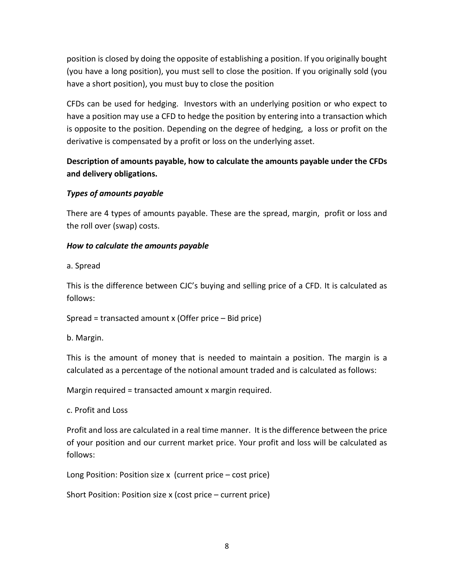position is closed by doing the opposite of establishing a position. If you originally bought (you have a long position), you must sell to close the position. If you originally sold (you have a short position), you must buy to close the position

CFDs can be used for hedging. Investors with an underlying position or who expect to have a position may use a CFD to hedge the position by entering into a transaction which is opposite to the position. Depending on the degree of hedging, a loss or profit on the derivative is compensated by a profit or loss on the underlying asset.

## **Description of amounts payable, how to calculate the amounts payable under the CFDs and delivery obligations.**

## *Types of amounts payable*

There are 4 types of amounts payable. These are the spread, margin, profit or loss and the roll over (swap) costs.

## *How to calculate the amounts payable*

a. Spread

This is the difference between CJC's buying and selling price of a CFD. It is calculated as follows:

Spread = transacted amount x (Offer price – Bid price)

b. Margin.

This is the amount of money that is needed to maintain a position. The margin is a calculated as a percentage of the notional amount traded and is calculated as follows:

Margin required = transacted amount x margin required.

c. Profit and Loss

Profit and loss are calculated in a real time manner. It is the difference between the price of your position and our current market price. Your profit and loss will be calculated as follows:

Long Position: Position size x (current price – cost price)

Short Position: Position size x (cost price – current price)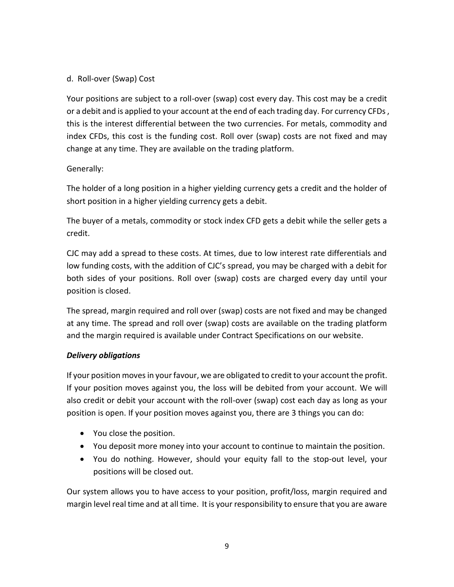#### d. Roll-over (Swap) Cost

Your positions are subject to a roll-over (swap) cost every day. This cost may be a credit or a debit and is applied to your account at the end of each trading day. For currency CFDs , this is the interest differential between the two currencies. For metals, commodity and index CFDs, this cost is the funding cost. Roll over (swap) costs are not fixed and may change at any time. They are available on the trading platform.

#### Generally:

The holder of a long position in a higher yielding currency gets a credit and the holder of short position in a higher yielding currency gets a debit.

The buyer of a metals, commodity or stock index CFD gets a debit while the seller gets a credit.

CJC may add a spread to these costs. At times, due to low interest rate differentials and low funding costs, with the addition of CJC's spread, you may be charged with a debit for both sides of your positions. Roll over (swap) costs are charged every day until your position is closed.

The spread, margin required and roll over (swap) costs are not fixed and may be changed at any time. The spread and roll over (swap) costs are available on the trading platform and the margin required is available under Contract Specifications on our website.

#### *Delivery obligations*

If your position moves in your favour, we are obligated to credit to your account the profit. If your position moves against you, the loss will be debited from your account. We will also credit or debit your account with the roll-over (swap) cost each day as long as your position is open. If your position moves against you, there are 3 things you can do:

- You close the position.
- You deposit more money into your account to continue to maintain the position.
- You do nothing. However, should your equity fall to the stop-out level, your positions will be closed out.

Our system allows you to have access to your position, profit/loss, margin required and margin level real time and at all time. It is your responsibility to ensure that you are aware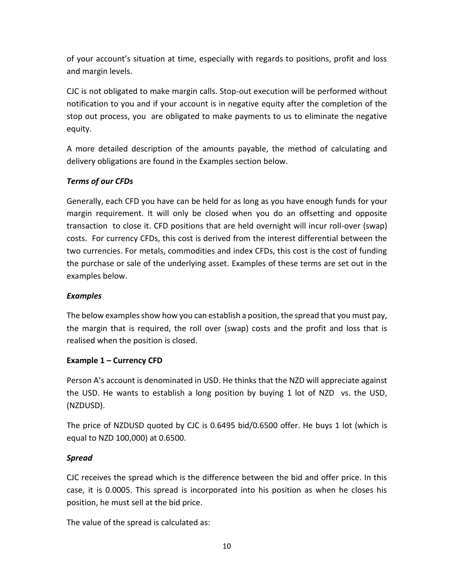of your account's situation at time, especially with regards to positions, profit and loss and margin levels.

CJC is not obligated to make margin calls. Stop-out execution will be performed without notification to you and if your account is in negative equity after the completion of the stop out process, you are obligated to make payments to us to eliminate the negative equity.

A more detailed description of the amounts payable, the method of calculating and delivery obligations are found in the Examples section below.

#### *Terms of our CFDs*

Generally, each CFD you have can be held for as long as you have enough funds for your margin requirement. It will only be closed when you do an offsetting and opposite transaction to close it. CFD positions that are held overnight will incur roll-over (swap) costs. For currency CFDs, this cost is derived from the interest differential between the two currencies. For metals, commodities and index CFDs, this cost is the cost of funding the purchase or sale of the underlying asset. Examples of these terms are set out in the examples below.

#### *Examples*

The below examples show how you can establish a position, the spread that you must pay, the margin that is required, the roll over (swap) costs and the profit and loss that is realised when the position is closed.

#### **Example 1 – Currency CFD**

Person A's account is denominated in USD. He thinks that the NZD will appreciate against the USD. He wants to establish a long position by buying 1 lot of NZD vs. the USD, (NZDUSD).

The price of NZDUSD quoted by CJC is 0.6495 bid/0.6500 offer. He buys 1 lot (which is equal to NZD 100,000) at 0.6500.

#### *Spread*

CJC receives the spread which is the difference between the bid and offer price. In this case, it is 0.0005. This spread is incorporated into his position as when he closes his position, he must sell at the bid price.

The value of the spread is calculated as: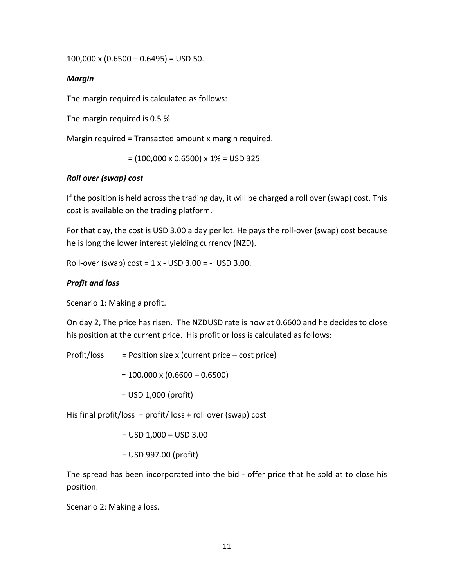100,000 x  $(0.6500 - 0.6495) =$  USD 50.

#### *Margin*

The margin required is calculated as follows:

The margin required is 0.5 %.

Margin required = Transacted amount x margin required.

 $= (100,000 \times 0.6500) \times 1\% = \text{USD } 325$ 

#### *Roll over (swap) cost*

If the position is held across the trading day, it will be charged a roll over (swap) cost. This cost is available on the trading platform.

For that day, the cost is USD 3.00 a day per lot. He pays the roll-over (swap) cost because he is long the lower interest yielding currency (NZD).

Roll-over (swap)  $cost = 1 x - USD 3.00 = - USD 3.00$ .

#### *Profit and loss*

Scenario 1: Making a profit.

On day 2, The price has risen. The NZDUSD rate is now at 0.6600 and he decides to close his position at the current price. His profit or loss is calculated as follows:

Profit/loss  $=$  Position size x (current price – cost price)

 $= 100,000 \times (0.6600 - 0.6500)$ 

= USD 1,000 (profit)

His final profit/loss = profit/loss + roll over (swap) cost

= USD 1,000 – USD 3.00

= USD 997.00 (profit)

The spread has been incorporated into the bid - offer price that he sold at to close his position.

Scenario 2: Making a loss.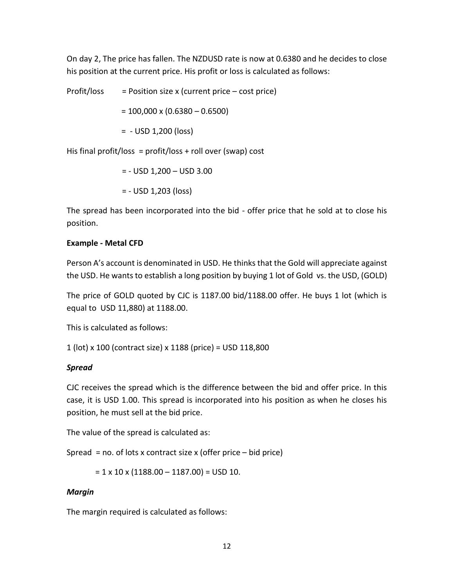On day 2, The price has fallen. The NZDUSD rate is now at 0.6380 and he decides to close his position at the current price. His profit or loss is calculated as follows:

Profit/loss  $=$  Position size x (current price – cost price)  $= 100,000 \times (0.6380 - 0.6500)$ = - USD 1,200 (loss)

His final profit/loss =  $profit/loss + roll over (swap) cost$ 

= - USD 1,200 – USD 3.00

= - USD 1,203 (loss)

The spread has been incorporated into the bid - offer price that he sold at to close his position.

#### **Example - Metal CFD**

Person A's account is denominated in USD. He thinks that the Gold will appreciate against the USD. He wants to establish a long position by buying 1 lot of Gold vs. the USD, (GOLD)

The price of GOLD quoted by CJC is 1187.00 bid/1188.00 offer. He buys 1 lot (which is equal to USD 11,880) at 1188.00.

This is calculated as follows:

1 (lot) x 100 (contract size) x 1188 (price) = USD 118,800

#### *Spread*

CJC receives the spread which is the difference between the bid and offer price. In this case, it is USD 1.00. This spread is incorporated into his position as when he closes his position, he must sell at the bid price.

The value of the spread is calculated as:

Spread = no. of lots x contract size x (offer price – bid price)

 $= 1 \times 10 \times (1188.00 - 1187.00) =$  USD 10.

#### *Margin*

The margin required is calculated as follows: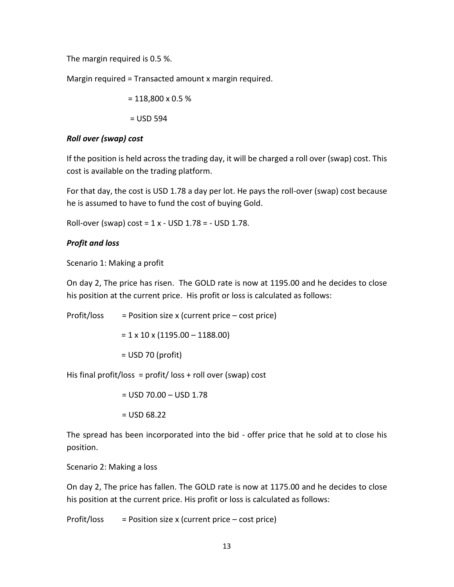The margin required is 0.5 %.

Margin required = Transacted amount x margin required.

 $= 118,800 \times 0.5 \%$ 

 $=$  USD 594

#### *Roll over (swap) cost*

If the position is held across the trading day, it will be charged a roll over (swap) cost. This cost is available on the trading platform.

For that day, the cost is USD 1.78 a day per lot. He pays the roll-over (swap) cost because he is assumed to have to fund the cost of buying Gold.

Roll-over (swap) cost =  $1 x -$  USD  $1.78 = -$  USD  $1.78$ .

#### *Profit and loss*

Scenario 1: Making a profit

On day 2, The price has risen. The GOLD rate is now at 1195.00 and he decides to close his position at the current price. His profit or loss is calculated as follows:

Profit/loss  $=$  Position size x (current price – cost price)

 $= 1 \times 10 \times (1195.00 - 1188.00)$ 

= USD 70 (profit)

His final profit/loss =  $profit/$  loss + roll over (swap) cost

= USD 70.00 – USD 1.78

 $=$  USD 68.22

The spread has been incorporated into the bid - offer price that he sold at to close his position.

Scenario 2: Making a loss

On day 2, The price has fallen. The GOLD rate is now at 1175.00 and he decides to close his position at the current price. His profit or loss is calculated as follows:

Profit/loss  $=$  Position size x (current price – cost price)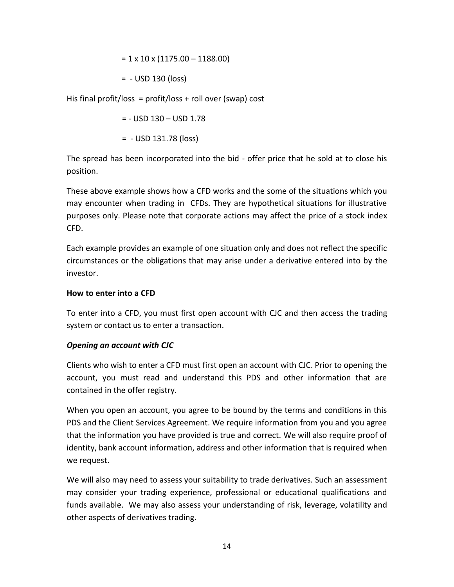$$
= 1 \times 10 \times (1175.00 - 1188.00)
$$

= - USD 130 (loss)

His final profit/loss =  $profit/loss + roll over (swap) cost$ 

$$
= - \text{USD } 130 - \text{USD } 1.78
$$

$$
= - \text{USD } 131.78 \text{ (loss)}
$$

The spread has been incorporated into the bid - offer price that he sold at to close his position.

These above example shows how a CFD works and the some of the situations which you may encounter when trading in CFDs. They are hypothetical situations for illustrative purposes only. Please note that corporate actions may affect the price of a stock index CFD.

Each example provides an example of one situation only and does not reflect the specific circumstances or the obligations that may arise under a derivative entered into by the investor.

#### **How to enter into a CFD**

To enter into a CFD, you must first open account with CJC and then access the trading system or contact us to enter a transaction.

#### *Opening an account with CJC*

Clients who wish to enter a CFD must first open an account with CJC. Prior to opening the account, you must read and understand this PDS and other information that are contained in the offer registry.

When you open an account, you agree to be bound by the terms and conditions in this PDS and the Client Services Agreement. We require information from you and you agree that the information you have provided is true and correct. We will also require proof of identity, bank account information, address and other information that is required when we request.

We will also may need to assess your suitability to trade derivatives. Such an assessment may consider your trading experience, professional or educational qualifications and funds available. We may also assess your understanding of risk, leverage, volatility and other aspects of derivatives trading.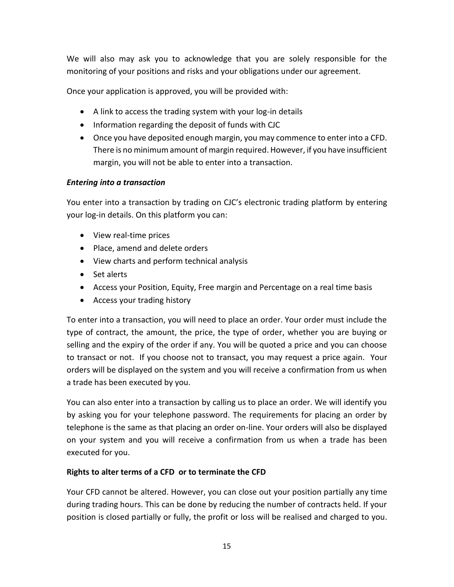We will also may ask you to acknowledge that you are solely responsible for the monitoring of your positions and risks and your obligations under our agreement.

Once your application is approved, you will be provided with:

- A link to access the trading system with your log-in details
- Information regarding the deposit of funds with CJC
- Once you have deposited enough margin, you may commence to enter into a CFD. There is no minimum amount of margin required. However, if you have insufficient margin, you will not be able to enter into a transaction.

#### *Entering into a transaction*

You enter into a transaction by trading on CJC's electronic trading platform by entering your log-in details. On this platform you can:

- View real-time prices
- Place, amend and delete orders
- View charts and perform technical analysis
- Set alerts
- Access your Position, Equity, Free margin and Percentage on a real time basis
- Access your trading history

To enter into a transaction, you will need to place an order. Your order must include the type of contract, the amount, the price, the type of order, whether you are buying or selling and the expiry of the order if any. You will be quoted a price and you can choose to transact or not. If you choose not to transact, you may request a price again. Your orders will be displayed on the system and you will receive a confirmation from us when a trade has been executed by you.

You can also enter into a transaction by calling us to place an order. We will identify you by asking you for your telephone password. The requirements for placing an order by telephone is the same as that placing an order on-line. Your orders will also be displayed on your system and you will receive a confirmation from us when a trade has been executed for you.

#### **Rights to alter terms of a CFD or to terminate the CFD**

Your CFD cannot be altered. However, you can close out your position partially any time during trading hours. This can be done by reducing the number of contracts held. If your position is closed partially or fully, the profit or loss will be realised and charged to you.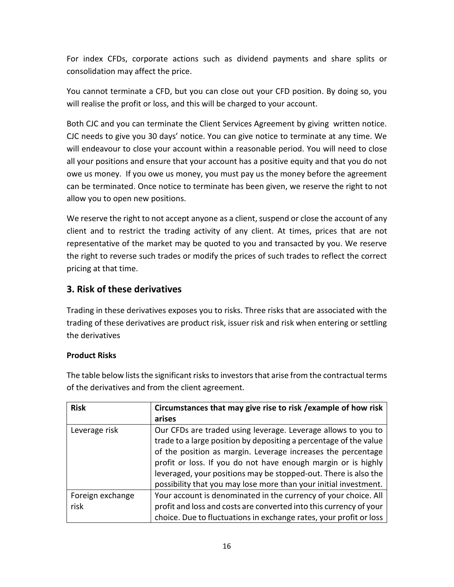For index CFDs, corporate actions such as dividend payments and share splits or consolidation may affect the price.

You cannot terminate a CFD, but you can close out your CFD position. By doing so, you will realise the profit or loss, and this will be charged to your account.

Both CJC and you can terminate the Client Services Agreement by giving written notice. CJC needs to give you 30 days' notice. You can give notice to terminate at any time. We will endeavour to close your account within a reasonable period. You will need to close all your positions and ensure that your account has a positive equity and that you do not owe us money. If you owe us money, you must pay us the money before the agreement can be terminated. Once notice to terminate has been given, we reserve the right to not allow you to open new positions.

We reserve the right to not accept anyone as a client, suspend or close the account of any client and to restrict the trading activity of any client. At times, prices that are not representative of the market may be quoted to you and transacted by you. We reserve the right to reverse such trades or modify the prices of such trades to reflect the correct pricing at that time.

## **3. Risk of these derivatives**

Trading in these derivatives exposes you to risks. Three risks that are associated with the trading of these derivatives are product risk, issuer risk and risk when entering or settling the derivatives

#### **Product Risks**

The table below lists the significant risks to investors that arise from the contractual terms of the derivatives and from the client agreement.

| <b>Risk</b>              | Circumstances that may give rise to risk / example of how risk                                                                                                                                                                                                      |
|--------------------------|---------------------------------------------------------------------------------------------------------------------------------------------------------------------------------------------------------------------------------------------------------------------|
|                          | arises                                                                                                                                                                                                                                                              |
| Leverage risk            | Our CFDs are traded using leverage. Leverage allows to you to<br>trade to a large position by depositing a percentage of the value<br>of the position as margin. Leverage increases the percentage<br>profit or loss. If you do not have enough margin or is highly |
|                          | leveraged, your positions may be stopped-out. There is also the<br>possibility that you may lose more than your initial investment.                                                                                                                                 |
| Foreign exchange<br>risk | Your account is denominated in the currency of your choice. All<br>profit and loss and costs are converted into this currency of your<br>choice. Due to fluctuations in exchange rates, your profit or loss                                                         |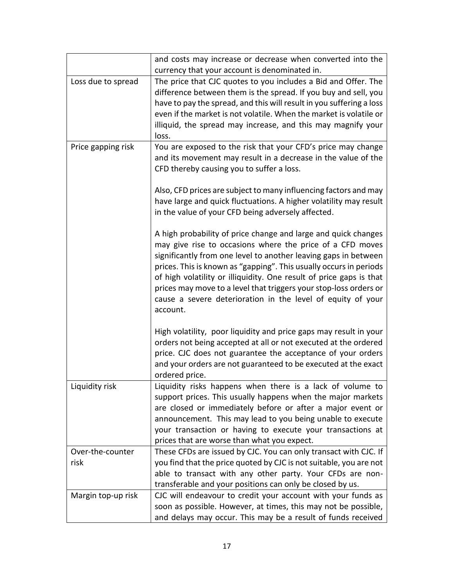|                          | and costs may increase or decrease when converted into the<br>currency that your account is denominated in.                                                                                                                                                                                                                                                                                                                                                                                 |
|--------------------------|---------------------------------------------------------------------------------------------------------------------------------------------------------------------------------------------------------------------------------------------------------------------------------------------------------------------------------------------------------------------------------------------------------------------------------------------------------------------------------------------|
| Loss due to spread       | The price that CJC quotes to you includes a Bid and Offer. The<br>difference between them is the spread. If you buy and sell, you<br>have to pay the spread, and this will result in you suffering a loss<br>even if the market is not volatile. When the market is volatile or<br>illiquid, the spread may increase, and this may magnify your<br>loss.                                                                                                                                    |
| Price gapping risk       | You are exposed to the risk that your CFD's price may change<br>and its movement may result in a decrease in the value of the<br>CFD thereby causing you to suffer a loss.                                                                                                                                                                                                                                                                                                                  |
|                          | Also, CFD prices are subject to many influencing factors and may<br>have large and quick fluctuations. A higher volatility may result<br>in the value of your CFD being adversely affected.                                                                                                                                                                                                                                                                                                 |
|                          | A high probability of price change and large and quick changes<br>may give rise to occasions where the price of a CFD moves<br>significantly from one level to another leaving gaps in between<br>prices. This is known as "gapping". This usually occurs in periods<br>of high volatility or illiquidity. One result of price gaps is that<br>prices may move to a level that triggers your stop-loss orders or<br>cause a severe deterioration in the level of equity of your<br>account. |
|                          | High volatility, poor liquidity and price gaps may result in your<br>orders not being accepted at all or not executed at the ordered<br>price. CJC does not guarantee the acceptance of your orders<br>and your orders are not guaranteed to be executed at the exact<br>ordered price.                                                                                                                                                                                                     |
| Liquidity risk           | Liquidity risks happens when there is a lack of volume to<br>support prices. This usually happens when the major markets<br>are closed or immediately before or after a major event or<br>announcement. This may lead to you being unable to execute<br>your transaction or having to execute your transactions at<br>prices that are worse than what you expect.                                                                                                                           |
| Over-the-counter<br>risk | These CFDs are issued by CJC. You can only transact with CJC. If<br>you find that the price quoted by CJC is not suitable, you are not<br>able to transact with any other party. Your CFDs are non-                                                                                                                                                                                                                                                                                         |
| Margin top-up risk       | transferable and your positions can only be closed by us.<br>CJC will endeavour to credit your account with your funds as<br>soon as possible. However, at times, this may not be possible,<br>and delays may occur. This may be a result of funds received                                                                                                                                                                                                                                 |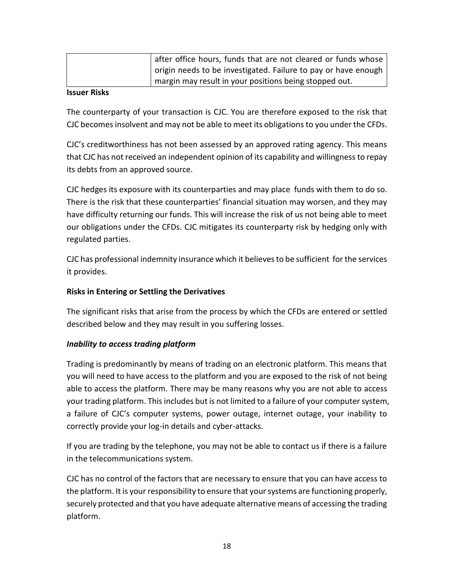| after office hours, funds that are not cleared or funds whose  |
|----------------------------------------------------------------|
| origin needs to be investigated. Failure to pay or have enough |
| margin may result in your positions being stopped out.         |

#### **Issuer Risks**

The counterparty of your transaction is CJC. You are therefore exposed to the risk that CJC becomes insolvent and may not be able to meet its obligations to you under the CFDs.

CJC's creditworthiness has not been assessed by an approved rating agency. This means that CJC has not received an independent opinion of its capability and willingness to repay its debts from an approved source.

CJC hedges its exposure with its counterparties and may place funds with them to do so. There is the risk that these counterparties' financial situation may worsen, and they may have difficulty returning our funds. This will increase the risk of us not being able to meet our obligations under the CFDs. CJC mitigates its counterparty risk by hedging only with regulated parties.

CJC has professional indemnity insurance which it believes to be sufficient for the services it provides.

#### **Risks in Entering or Settling the Derivatives**

The significant risks that arise from the process by which the CFDs are entered or settled described below and they may result in you suffering losses.

#### *Inability to access trading platform*

Trading is predominantly by means of trading on an electronic platform. This means that you will need to have access to the platform and you are exposed to the risk of not being able to access the platform. There may be many reasons why you are not able to access your trading platform. This includes but is not limited to a failure of your computer system, a failure of CJC's computer systems, power outage, internet outage, your inability to correctly provide your log-in details and cyber-attacks.

If you are trading by the telephone, you may not be able to contact us if there is a failure in the telecommunications system.

CJC has no control of the factors that are necessary to ensure that you can have access to the platform. It is your responsibility to ensure that your systems are functioning properly, securely protected and that you have adequate alternative means of accessing the trading platform.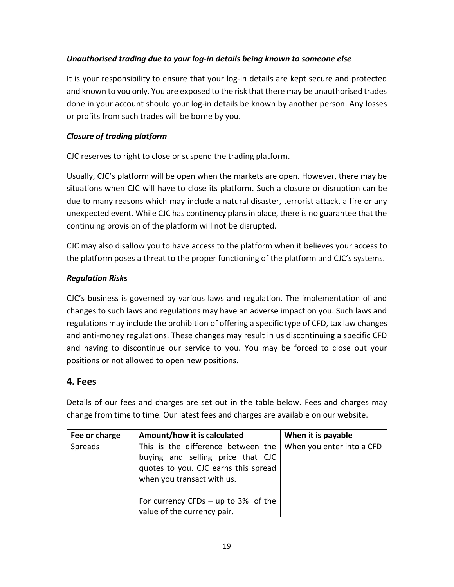#### *Unauthorised trading due to your log-in details being known to someone else*

It is your responsibility to ensure that your log-in details are kept secure and protected and known to you only. You are exposed to the risk that there may be unauthorised trades done in your account should your log-in details be known by another person. Any losses or profits from such trades will be borne by you.

#### *Closure of trading platform*

CJC reserves to right to close or suspend the trading platform.

Usually, CJC's platform will be open when the markets are open. However, there may be situations when CJC will have to close its platform. Such a closure or disruption can be due to many reasons which may include a natural disaster, terrorist attack, a fire or any unexpected event. While CJC has continency plans in place, there is no guarantee that the continuing provision of the platform will not be disrupted.

CJC may also disallow you to have access to the platform when it believes your access to the platform poses a threat to the proper functioning of the platform and CJC's systems.

#### *Regulation Risks*

CJC's business is governed by various laws and regulation. The implementation of and changes to such laws and regulations may have an adverse impact on you. Such laws and regulations may include the prohibition of offering a specific type of CFD, tax law changes and anti-money regulations. These changes may result in us discontinuing a specific CFD and having to discontinue our service to you. You may be forced to close out your positions or not allowed to open new positions.

## **4. Fees**

Details of our fees and charges are set out in the table below. Fees and charges may change from time to time. Our latest fees and charges are available on our website.

| Fee or charge | Amount/how it is calculated                                                                                                                   | When it is payable        |
|---------------|-----------------------------------------------------------------------------------------------------------------------------------------------|---------------------------|
| Spreads       | This is the difference between the<br>buying and selling price that CJC<br>quotes to you. CJC earns this spread<br>when you transact with us. | When you enter into a CFD |
|               | For currency CFDs $-$ up to 3% of the<br>value of the currency pair.                                                                          |                           |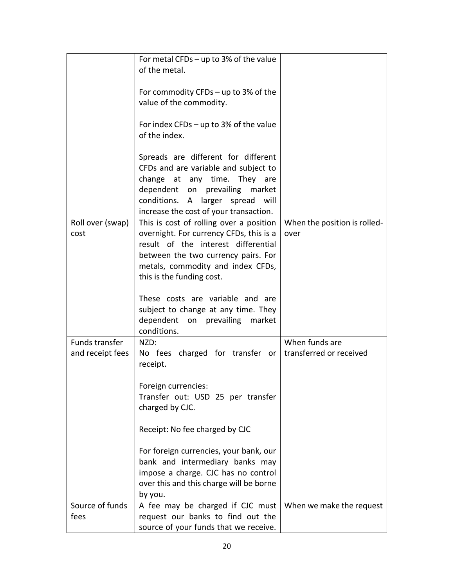|                  | For metal CFDs $-$ up to 3% of the value                                                                                                                                                                                    |                              |
|------------------|-----------------------------------------------------------------------------------------------------------------------------------------------------------------------------------------------------------------------------|------------------------------|
|                  | of the metal.                                                                                                                                                                                                               |                              |
|                  | For commodity CFDs – up to $3\%$ of the                                                                                                                                                                                     |                              |
|                  | value of the commodity.                                                                                                                                                                                                     |                              |
|                  | For index CFDs $-$ up to 3% of the value                                                                                                                                                                                    |                              |
|                  | of the index.                                                                                                                                                                                                               |                              |
|                  | Spreads are different for different<br>CFDs and are variable and subject to<br>change at any time. They are<br>dependent on prevailing market<br>conditions. A larger spread will<br>increase the cost of your transaction. |                              |
| Roll over (swap) | This is cost of rolling over a position                                                                                                                                                                                     | When the position is rolled- |
| cost             | overnight. For currency CFDs, this is a                                                                                                                                                                                     | over                         |
|                  | result of the interest differential                                                                                                                                                                                         |                              |
|                  | between the two currency pairs. For                                                                                                                                                                                         |                              |
|                  | metals, commodity and index CFDs,                                                                                                                                                                                           |                              |
|                  | this is the funding cost.                                                                                                                                                                                                   |                              |
|                  |                                                                                                                                                                                                                             |                              |
|                  | These costs are variable and are<br>subject to change at any time. They<br>dependent on prevailing market<br>conditions.                                                                                                    |                              |
| Funds transfer   | NZD:                                                                                                                                                                                                                        | When funds are               |
|                  |                                                                                                                                                                                                                             |                              |
| and receipt fees | No fees charged for transfer or<br>receipt.                                                                                                                                                                                 | transferred or received      |
|                  |                                                                                                                                                                                                                             |                              |
|                  | Foreign currencies:                                                                                                                                                                                                         |                              |
|                  | Transfer out: USD 25 per transfer                                                                                                                                                                                           |                              |
|                  | charged by CJC.                                                                                                                                                                                                             |                              |
|                  |                                                                                                                                                                                                                             |                              |
|                  | Receipt: No fee charged by CJC                                                                                                                                                                                              |                              |
|                  | For foreign currencies, your bank, our                                                                                                                                                                                      |                              |
|                  | bank and intermediary banks may                                                                                                                                                                                             |                              |
|                  | impose a charge. CJC has no control                                                                                                                                                                                         |                              |
|                  | over this and this charge will be borne                                                                                                                                                                                     |                              |
|                  | by you.                                                                                                                                                                                                                     |                              |
| Source of funds  | A fee may be charged if CJC must                                                                                                                                                                                            | When we make the request     |
| fees             | request our banks to find out the                                                                                                                                                                                           |                              |
|                  | source of your funds that we receive.                                                                                                                                                                                       |                              |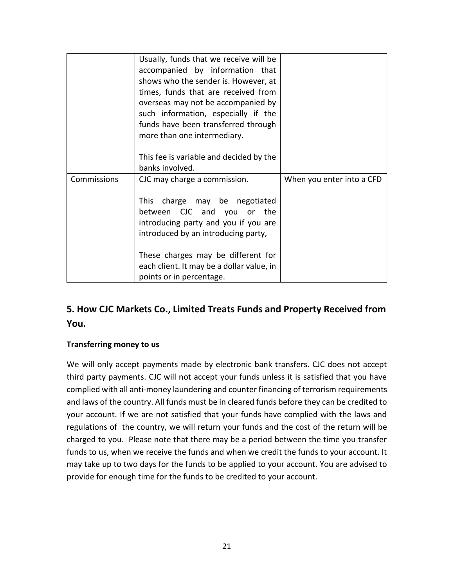|                    | Usually, funds that we receive will be<br>accompanied by information that<br>shows who the sender is. However, at<br>times, funds that are received from<br>overseas may not be accompanied by<br>such information, especially if the<br>funds have been transferred through<br>more than one intermediary. |                           |
|--------------------|-------------------------------------------------------------------------------------------------------------------------------------------------------------------------------------------------------------------------------------------------------------------------------------------------------------|---------------------------|
|                    | This fee is variable and decided by the<br>banks involved.                                                                                                                                                                                                                                                  |                           |
| <b>Commissions</b> | CJC may charge a commission.<br>charge may be negotiated<br>This<br>between CJC and you or the<br>introducing party and you if you are<br>introduced by an introducing party,                                                                                                                               | When you enter into a CFD |
|                    | These charges may be different for<br>each client. It may be a dollar value, in<br>points or in percentage.                                                                                                                                                                                                 |                           |

## **5. How CJC Markets Co., Limited Treats Funds and Property Received from You.**

#### **Transferring money to us**

We will only accept payments made by electronic bank transfers. CJC does not accept third party payments. CJC will not accept your funds unless it is satisfied that you have complied with all anti-money laundering and counter financing of terrorism requirements and laws of the country. All funds must be in cleared funds before they can be credited to your account. If we are not satisfied that your funds have complied with the laws and regulations of the country, we will return your funds and the cost of the return will be charged to you. Please note that there may be a period between the time you transfer funds to us, when we receive the funds and when we credit the funds to your account. It may take up to two days for the funds to be applied to your account. You are advised to provide for enough time for the funds to be credited to your account.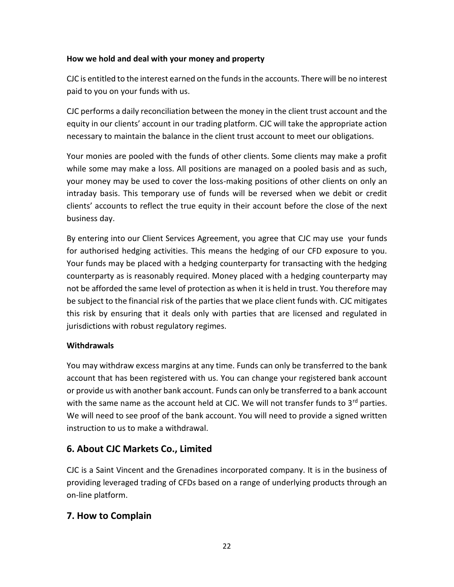#### **How we hold and deal with your money and property**

CJC is entitled to the interest earned on the funds in the accounts. There will be no interest paid to you on your funds with us.

CJC performs a daily reconciliation between the money in the client trust account and the equity in our clients' account in our trading platform. CJC will take the appropriate action necessary to maintain the balance in the client trust account to meet our obligations.

Your monies are pooled with the funds of other clients. Some clients may make a profit while some may make a loss. All positions are managed on a pooled basis and as such, your money may be used to cover the loss-making positions of other clients on only an intraday basis. This temporary use of funds will be reversed when we debit or credit clients' accounts to reflect the true equity in their account before the close of the next business day.

By entering into our Client Services Agreement, you agree that CJC may use your funds for authorised hedging activities. This means the hedging of our CFD exposure to you. Your funds may be placed with a hedging counterparty for transacting with the hedging counterparty as is reasonably required. Money placed with a hedging counterparty may not be afforded the same level of protection as when it is held in trust. You therefore may be subject to the financial risk of the parties that we place client funds with. CJC mitigates this risk by ensuring that it deals only with parties that are licensed and regulated in jurisdictions with robust regulatory regimes.

#### **Withdrawals**

You may withdraw excess margins at any time. Funds can only be transferred to the bank account that has been registered with us. You can change your registered bank account or provide us with another bank account. Funds can only be transferred to a bank account with the same name as the account held at CJC. We will not transfer funds to  $3<sup>rd</sup>$  parties. We will need to see proof of the bank account. You will need to provide a signed written instruction to us to make a withdrawal.

## **6. About CJC Markets Co., Limited**

CJC is a Saint Vincent and the Grenadines incorporated company. It is in the business of providing leveraged trading of CFDs based on a range of underlying products through an on-line platform.

## **7. How to Complain**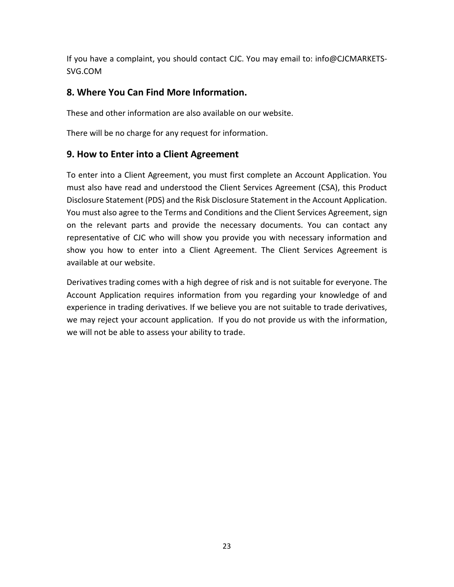If you have a complaint, you should contact CJC. You may email to: info@CJCMARKETS-SVG.COM

## **8. Where You Can Find More Information.**

These and other information are also available on our website.

There will be no charge for any request for information.

## **9. How to Enter into a Client Agreement**

To enter into a Client Agreement, you must first complete an Account Application. You must also have read and understood the Client Services Agreement (CSA), this Product Disclosure Statement (PDS) and the Risk Disclosure Statement in the Account Application. You must also agree to the Terms and Conditions and the Client Services Agreement, sign on the relevant parts and provide the necessary documents. You can contact any representative of CJC who will show you provide you with necessary information and show you how to enter into a Client Agreement. The Client Services Agreement is available at our website.

Derivatives trading comes with a high degree of risk and is not suitable for everyone. The Account Application requires information from you regarding your knowledge of and experience in trading derivatives. If we believe you are not suitable to trade derivatives, we may reject your account application. If you do not provide us with the information, we will not be able to assess your ability to trade.